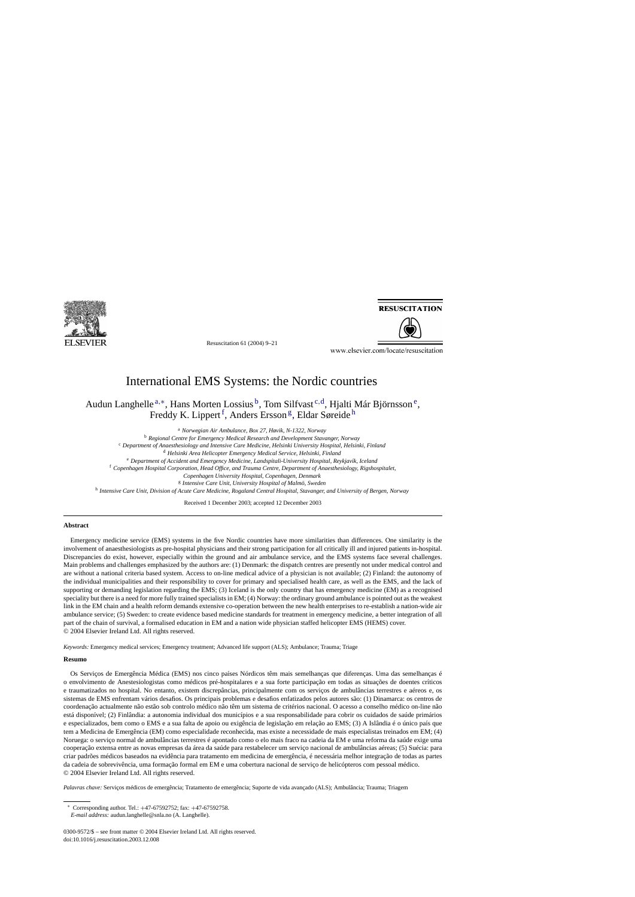

**RESUSCITATION** 



Resuscitation 61 (2004) 9–21

www.elsevier.com/locate/resuscitation

## International EMS Systems: the Nordic countries

Audun Langhelle <sup>a,\*</sup>, Hans Morten Lossius <sup>b</sup>, Tom Silfvast<sup>c,d</sup>, Hjalti Már Björnsson<sup>e</sup>, Freddy K. Lippert<sup>f</sup>, Anders Ersson<sup>g</sup>, Eldar Søreide<sup>h</sup>

<sup>a</sup> *Norwegian Air Ambulance, Box 27, H*ø*vik, N-1322, Norway*

<sup>b</sup> *Regional Centre for Emergency Medical Research and Development Stavanger, Norway*

<sup>c</sup> *Department of Anaesthesiology and Intensive Care Medicine, Helsinki University Hospital, Helsinki, Finland*

<sup>d</sup> *Helsinki Area Helicopter Emergency Medical Service, Helsinki, Finland*

<sup>e</sup> Department of Accident and Emergency Medicine, Landspítali-University Hospital, Reykjavík, Iceland

<sup>f</sup> *Copenhagen Hospital Corporation, Head Office, and Trauma Centre, Department of Anaesthesiology, Rigshospitalet,*

*Copenhagen University Hospital, Copenhagen, Denmark*

<sup>g</sup> *Intensive Care Unit, University Hospital of Malmö, Sweden*

<sup>h</sup> *Intensive Care Unit, Division of Acute Care Medicine, Rogaland Central Hospital, Stavanger, and University of Bergen, Norway*

Received 1 December 2003; accepted 12 December 2003

### **Abstract**

Emergency medicine service (EMS) systems in the five Nordic countries have more similarities than differences. One similarity is the involvement of anaesthesiologists as pre-hospital physicians and their strong participation for all critically ill and injured patients in-hospital. Discrepancies do exist, however, especially within the ground and air ambulance service, and the EMS systems face several challenges. Main problems and challenges emphasized by the authors are: (1) Denmark: the dispatch centres are presently not under medical control and are without a national criteria based system. Access to on-line medical advice of a physician is not available; (2) Finland: the autonomy of the individual municipalities and their responsibility to cover for primary and specialised health care, as well as the EMS, and the lack of supporting or demanding legislation regarding the EMS; (3) Iceland is the only country that has emergency medicine (EM) as a recognised speciality but there is a need for more fully trained specialists in EM; (4) Norway: the ordinary ground ambulance is pointed out as the weakest link in the EM chain and a health reform demands extensive co-operation between the new health enterprises to re-establish a nation-wide air ambulance service; (5) Sweden: to create evidence based medicine standards for treatment in emergency medicine, a better integration of all part of the chain of survival, a formalised education in EM and a nation wide physician staffed helicopter EMS (HEMS) cover. © 2004 Elsevier Ireland Ltd. All rights reserved.

*Keywords:* Emergency medical services; Emergency treatment; Advanced life support (ALS); Ambulance; Trauma; Triage

#### **Resumo**

Os Serviços de Emergência Médica (EMS) nos cinco países Nórdicos têm mais semelhanças que diferenças. Uma das semelhanças é o envolvimento de Anestesiologistas como médicos pré-hospitalares e a sua forte participação em todas as situações de doentes cr´ıticos e traumatizados no hospital. No entanto, existem discrepâncias, principalmente com os serviços de ambulâncias terrestres e aéreos e, os sistemas de EMS enfrentam vários desafios. Os principais problemas e desafios enfatizados pelos autores são: (1) Dinamarca: os centros de coordenação actualmente não estão sob controlo médico não têm um sistema de critérios nacional. O acesso a conselho médico on-line não está disponível; (2) Finlândia: a autonomia individual dos municípios e a sua responsabilidade para cobrir os cuidados de saúde primários e especializados, bem como o EMS e a sua falta de apoio ou exigência de legislação em relação ao EMS; (3) A Islândia é o único país que tem a Medicina de Emergência (EM) como especialidade reconhecida, mas existe a necessidade de mais especialistas treinados em EM; (4) Noruega: o serviço normal de ambulancias terrestres é apontado como o elo mais fraco na cadeia da EM e uma reforma da saúde exige uma ˆ cooperação extensa entre as novas empresas da área da saúde para restabelecer um serviço nacional de ambulancias aéreas; (5) Suécia: para ˆ criar padrões médicos baseados na evidência para tratamento em medicina de emergência, é necessária melhor integração de todas as partes da cadeia de sobrevivência, uma formação formal em EM e uma cobertura nacional de serviço de helicópteros com pessoal médico. © 2004 Elsevier Ireland Ltd. All rights reserved.

Palavras chave: Serviços médicos de emergência; Tratamento de emergência; Suporte de vida avançado (ALS); Ambulância; Trauma; Triagem

<sup>∗</sup> Corresponding author. Tel.: +47-67592752; fax: +47-67592758. *E-mail address:* audun.langhelle@snla.no (A. Langhelle).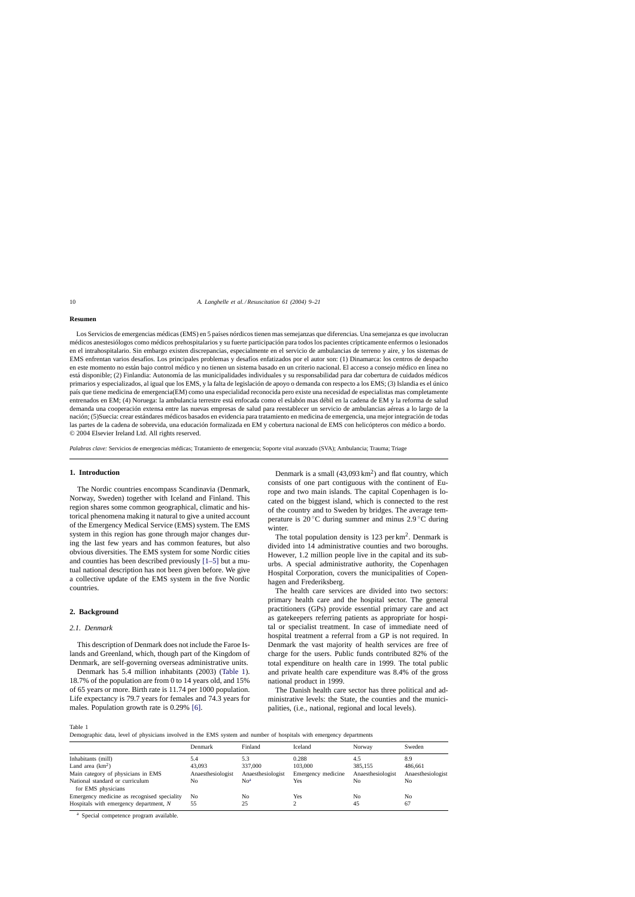#### **Resumen**

Los Servicios de emergencias médicas (EMS) en 5 países nórdicos tienen mas semejanzas que diferencias. Una semejanza es que involucran médicos anestesiólogos como médicos prehospitalarios y su fuerte participación para todos los pacientes crípticamente enfermos o lesionados en el intrahospitalario. Sin embargo existen discrepancias, especialmente en el servicio de ambulancias de terreno y aire, y los sistemas de EMS enfrentan varios desafíos. Los principales problemas y desafíos enfatizados por el autor son: (1) Dinamarca: los centros de despacho en este momento no están bajo control médico y no tienen un sistema basado en un criterio nacional. El acceso a consejo médico en línea no está disponible; (2) Finlandia: Autonomía de las municipalidades individuales y su responsabilidad para dar cobertura de cuidados médicos primarios y especializados, al igual que los EMS, y la falta de legislación de apoyo o demanda con respecto a los EMS; (3) Islandia es el único pa´ıs que tiene medicina de emergencia(EM) como una especialidad reconocida pero existe una necesidad de especialistas mas completamente entrenados en EM; (4) Noruega: la ambulancia terrestre está enfocada como el eslabón mas débil en la cadena de EM y la reforma de salud demanda una cooperación extensa entre las nuevas empresas de salud para reestablecer un servicio de ambulancias aéreas a lo largo de la nación; (5)Suecia: crear estándares médicos basados en evidencia para tratamiento en medicina de emergencia, una mejor integración de todas las partes de la cadena de sobrevida, una educación formalizada en EM y cobertura nacional de EMS con helicópteros con médico a bordo. © 2004 Elsevier Ireland Ltd. All rights reserved.

*Palabras clave:* Servicios de emergencias médicas; Tratamiento de emergencia; Soporte vital avanzado (SVA); Ambulancia; Trauma; Triage

#### **1. Introduction**

The Nordic countries encompass Scandinavia (Denmark, Norway, Sweden) together with Iceland and Finland. This region shares some common geographical, climatic and historical phenomena making it natural to give a united account of the Emergency Medical Service (EMS) system. The EMS system in this region has gone through major changes during the last few years and has common features, but also obvious diversities. The EMS system for some Nordic cities and counties has been described previously [\[1–5\]](#page--1-0) but a mutual national description has not been given before. We give a collective update of the EMS system in the five Nordic countries.

#### **2. Background**

#### *2.1. Denmark*

This description of Denmark does not include the Faroe Islands and Greenland, which, though part of the Kingdom of Denmark, are self-governing overseas administrative units.

Denmark has 5.4 million inhabitants (2003) (Table 1). 18.7% of the population are from 0 to 14 years old, and 15% of 65 years or more. Birth rate is 11.74 per 1000 population. Life expectancy is 79.7 years for females and 74.3 years for males. Population growth rate is 0.29% [\[6\].](#page--1-0)

Denmark is a small  $(43,093 \text{ km}^2)$  and flat country, which consists of one part contiguous with the continent of Europe and two main islands. The capital Copenhagen is located on the biggest island, which is connected to the rest of the country and to Sweden by bridges. The average temperature is 20  $\rm ^{\circ}C$  during summer and minus 2.9  $\rm ^{\circ}C$  during winter.

The total population density is  $123$  per km<sup>2</sup>. Denmark is divided into 14 administrative counties and two boroughs. However, 1.2 million people live in the capital and its suburbs. A special administrative authority, the Copenhagen Hospital Corporation, covers the municipalities of Copenhagen and Frederiksberg.

The health care services are divided into two sectors: primary health care and the hospital sector. The general practitioners (GPs) provide essential primary care and act as gatekeepers referring patients as appropriate for hospital or specialist treatment. In case of immediate need of hospital treatment a referral from a GP is not required. In Denmark the vast majority of health services are free of charge for the users. Public funds contributed 82% of the total expenditure on health care in 1999. The total public and private health care expenditure was 8.4% of the gross national product in 1999.

The Danish health care sector has three political and administrative levels: the State, the counties and the municipalities, (i.e., national, regional and local levels).

Table 1

Demographic data, level of physicians involved in the EMS system and number of hospitals with emergency departments

|                                                       | Denmark           | Finland           | Iceland            | Norway            | Sweden            |
|-------------------------------------------------------|-------------------|-------------------|--------------------|-------------------|-------------------|
| Inhabitants (mill)                                    | 5.4               | 5.3               | 0.288              | 4.5               | 8.9               |
| Land area $(km^2)$                                    | 43,093            | 337,000           | 103,000            | 385,155           | 486.661           |
| Main category of physicians in EMS                    | Anaesthesiologist | Anaesthesiologist | Emergency medicine | Anaesthesiologist | Anaesthesiologist |
| National standard or curriculum<br>for EMS physicians | No                | No <sup>a</sup>   | Yes                | No                | No                |
| Emergency medicine as recognised speciality           | N <sub>0</sub>    | No                | Yes                | No                | No                |
| Hospitals with emergency department, N                | 55                | 25                |                    | 45                | 67                |

<sup>a</sup> Special competence program available.